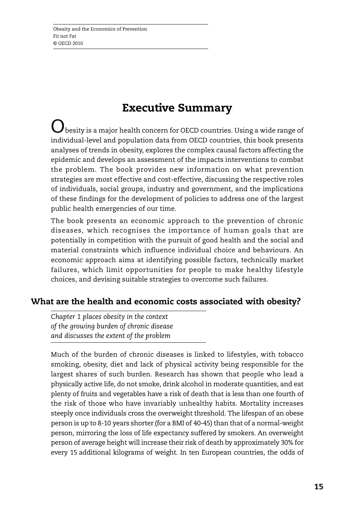# **Executive Summary**

 $\bm{U}$ besity is a major health concern for OECD countries. Using a wide range of individual-level and population data from OECD countries, this book presents analyses of trends in obesity, explores the complex causal factors affecting the epidemic and develops an assessment of the impacts interventions to combat the problem. The book provides new information on what prevention strategies are most effective and cost-effective, discussing the respective roles of individuals, social groups, industry and government, and the implications of these findings for the development of policies to address one of the largest public health emergencies of our time.

The book presents an economic approach to the prevention of chronic diseases, which recognises the importance of human goals that are potentially in competition with the pursuit of good health and the social and material constraints which influence individual choice and behaviours. An economic approach aims at identifying possible factors, technically market failures, which limit opportunities for people to make healthy lifestyle choices, and devising suitable strategies to overcome such failures.

# **What are the health and economic costs associated with obesity?**

*Chapter 1 places obesity in the context of the growing burden of chronic disease and discusses the extent of the problem*

Much of the burden of chronic diseases is linked to lifestyles, with tobacco smoking, obesity, diet and lack of physical activity being responsible for the largest shares of such burden. Research has shown that people who lead a physically active life, do not smoke, drink alcohol in moderate quantities, and eat plenty of fruits and vegetables have a risk of death that is less than one fourth of the risk of those who have invariably unhealthy habits. Mortality increases steeply once individuals cross the overweight threshold. The lifespan of an obese person is up to 8-10 years shorter (for a BMI of 40-45) than that of a normal-weight person, mirroring the loss of life expectancy suffered by smokers. An overweight person of average height will increase their risk of death by approximately 30% for every 15 additional kilograms of weight. In ten European countries, the odds of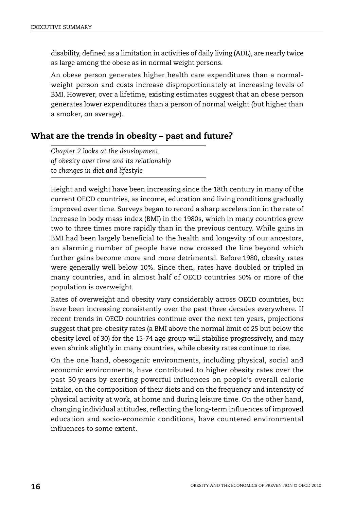disability, defined as a limitation in activities of daily living (ADL), are nearly twice as large among the obese as in normal weight persons.

An obese person generates higher health care expenditures than a normalweight person and costs increase disproportionately at increasing levels of BMI. However, over a lifetime, existing estimates suggest that an obese person generates lower expenditures than a person of normal weight (but higher than a smoker, on average).

#### **What are the trends in obesity – past and future?**

*Chapter 2 looks at the development of obesity over time and its relationship to changes in diet and lifestyle*

Height and weight have been increasing since the 18th century in many of the current OECD countries, as income, education and living conditions gradually improved over time. Surveys began to record a sharp acceleration in the rate of increase in body mass index (BMI) in the 1980s, which in many countries grew two to three times more rapidly than in the previous century. While gains in BMI had been largely beneficial to the health and longevity of our ancestors, an alarming number of people have now crossed the line beyond which further gains become more and more detrimental. Before 1980, obesity rates were generally well below 10%. Since then, rates have doubled or tripled in many countries, and in almost half of OECD countries 50% or more of the population is overweight.

Rates of overweight and obesity vary considerably across OECD countries, but have been increasing consistently over the past three decades everywhere. If recent trends in OECD countries continue over the next ten years, projections suggest that pre-obesity rates (a BMI above the normal limit of 25 but below the obesity level of 30) for the 15-74 age group will stabilise progressively, and may even shrink slightly in many countries, while obesity rates continue to rise.

On the one hand, obesogenic environments, including physical, social and economic environments, have contributed to higher obesity rates over the past 30 years by exerting powerful influences on people's overall calorie intake, on the composition of their diets and on the frequency and intensity of physical activity at work, at home and during leisure time. On the other hand, changing individual attitudes, reflecting the long-term influences of improved education and socio-economic conditions, have countered environmental influences to some extent.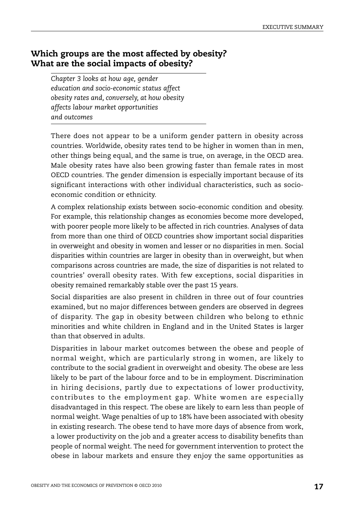# **Which groups are the most affected by obesity? What are the social impacts of obesity?**

*Chapter 3 looks at how age, gender education and socio-economic status affect obesity rates and, conversely, at how obesity affects labour market opportunities and outcomes*

There does not appear to be a uniform gender pattern in obesity across countries. Worldwide, obesity rates tend to be higher in women than in men, other things being equal, and the same is true, on average, in the OECD area. Male obesity rates have also been growing faster than female rates in most OECD countries. The gender dimension is especially important because of its significant interactions with other individual characteristics, such as socioeconomic condition or ethnicity.

A complex relationship exists between socio-economic condition and obesity. For example, this relationship changes as economies become more developed, with poorer people more likely to be affected in rich countries. Analyses of data from more than one third of OECD countries show important social disparities in overweight and obesity in women and lesser or no disparities in men. Social disparities within countries are larger in obesity than in overweight, but when comparisons across countries are made, the size of disparities is not related to countries' overall obesity rates. With few exceptions, social disparities in obesity remained remarkably stable over the past 15 years.

Social disparities are also present in children in three out of four countries examined, but no major differences between genders are observed in degrees of disparity. The gap in obesity between children who belong to ethnic minorities and white children in England and in the United States is larger than that observed in adults.

Disparities in labour market outcomes between the obese and people of normal weight, which are particularly strong in women, are likely to contribute to the social gradient in overweight and obesity. The obese are less likely to be part of the labour force and to be in employment. Discrimination in hiring decisions, partly due to expectations of lower productivity, contributes to the employment gap. White women are especially disadvantaged in this respect. The obese are likely to earn less than people of normal weight. Wage penalties of up to 18% have been associated with obesity in existing research. The obese tend to have more days of absence from work, a lower productivity on the job and a greater access to disability benefits than people of normal weight. The need for government intervention to protect the obese in labour markets and ensure they enjoy the same opportunities as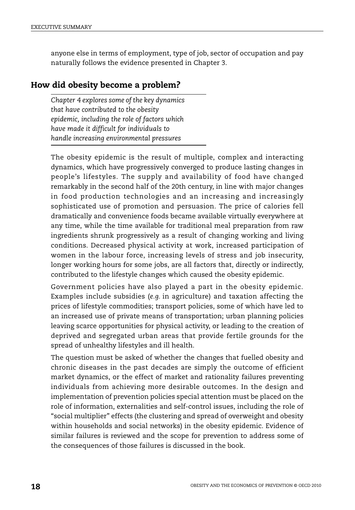anyone else in terms of employment, type of job, sector of occupation and pay naturally follows the evidence presented in Chapter 3.

## **How did obesity become a problem?**

*Chapter 4 explores some of the key dynamics that have contributed to the obesity epidemic, including the role of factors which have made it difficult for individuals to handle increasing environmental pressures*

The obesity epidemic is the result of multiple, complex and interacting dynamics, which have progressively converged to produce lasting changes in people's lifestyles. The supply and availability of food have changed remarkably in the second half of the 20th century, in line with major changes in food production technologies and an increasing and increasingly sophisticated use of promotion and persuasion. The price of calories fell dramatically and convenience foods became available virtually everywhere at any time, while the time available for traditional meal preparation from raw ingredients shrunk progressively as a result of changing working and living conditions. Decreased physical activity at work, increased participation of women in the labour force, increasing levels of stress and job insecurity, longer working hours for some jobs, are all factors that, directly or indirectly, contributed to the lifestyle changes which caused the obesity epidemic.

Government policies have also played a part in the obesity epidemic. Examples include subsidies (*e.g.* in agriculture) and taxation affecting the prices of lifestyle commodities; transport policies, some of which have led to an increased use of private means of transportation; urban planning policies leaving scarce opportunities for physical activity, or leading to the creation of deprived and segregated urban areas that provide fertile grounds for the spread of unhealthy lifestyles and ill health.

The question must be asked of whether the changes that fuelled obesity and chronic diseases in the past decades are simply the outcome of efficient market dynamics, or the effect of market and rationality failures preventing individuals from achieving more desirable outcomes. In the design and implementation of prevention policies special attention must be placed on the role of information, externalities and self-control issues, including the role of "social multiplier" effects (the clustering and spread of overweight and obesity within households and social networks) in the obesity epidemic. Evidence of similar failures is reviewed and the scope for prevention to address some of the consequences of those failures is discussed in the book.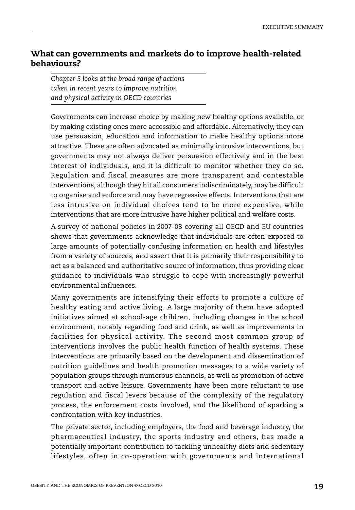## **What can governments and markets do to improve health-related behaviours?**

*Chapter 5 looks at the broad range of actions taken in recent years to improve nutrition and physical activity in OECD countries*

Governments can increase choice by making new healthy options available, or by making existing ones more accessible and affordable. Alternatively, they can use persuasion, education and information to make healthy options more attractive. These are often advocated as minimally intrusive interventions, but governments may not always deliver persuasion effectively and in the best interest of individuals, and it is difficult to monitor whether they do so. Regulation and fiscal measures are more transparent and contestable interventions, although they hit all consumers indiscriminately, may be difficult to organise and enforce and may have regressive effects. Interventions that are less intrusive on individual choices tend to be more expensive, while interventions that are more intrusive have higher political and welfare costs.

A survey of national policies in 2007-08 covering all OECD and EU countries shows that governments acknowledge that individuals are often exposed to large amounts of potentially confusing information on health and lifestyles from a variety of sources, and assert that it is primarily their responsibility to act as a balanced and authoritative source of information, thus providing clear guidance to individuals who struggle to cope with increasingly powerful environmental influences.

Many governments are intensifying their efforts to promote a culture of healthy eating and active living. A large majority of them have adopted initiatives aimed at school-age children, including changes in the school environment, notably regarding food and drink, as well as improvements in facilities for physical activity. The second most common group of interventions involves the public health function of health systems. These interventions are primarily based on the development and dissemination of nutrition guidelines and health promotion messages to a wide variety of population groups through numerous channels, as well as promotion of active transport and active leisure. Governments have been more reluctant to use regulation and fiscal levers because of the complexity of the regulatory process, the enforcement costs involved, and the likelihood of sparking a confrontation with key industries.

The private sector, including employers, the food and beverage industry, the pharmaceutical industry, the sports industry and others, has made a potentially important contribution to tackling unhealthy diets and sedentary lifestyles, often in co-operation with governments and international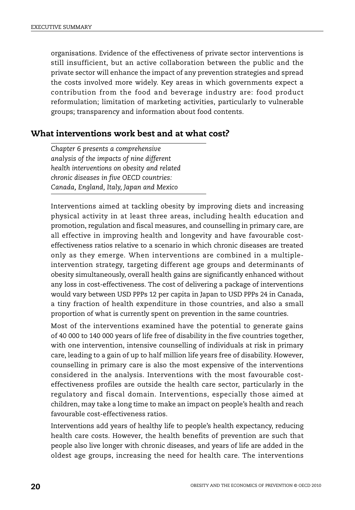organisations. Evidence of the effectiveness of private sector interventions is still insufficient, but an active collaboration between the public and the private sector will enhance the impact of any prevention strategies and spread the costs involved more widely. Key areas in which governments expect a contribution from the food and beverage industry are: food product reformulation; limitation of marketing activities, particularly to vulnerable groups; transparency and information about food contents.

#### **What interventions work best and at what cost?**

*Chapter 6 presents a comprehensive analysis of the impacts of nine different health interventions on obesity and related chronic diseases in five OECD countries: Canada, England, Italy, Japan and Mexico*

Interventions aimed at tackling obesity by improving diets and increasing physical activity in at least three areas, including health education and promotion, regulation and fiscal measures, and counselling in primary care, are all effective in improving health and longevity and have favourable costeffectiveness ratios relative to a scenario in which chronic diseases are treated only as they emerge. When interventions are combined in a multipleintervention strategy, targeting different age groups and determinants of obesity simultaneously, overall health gains are significantly enhanced without any loss in cost-effectiveness. The cost of delivering a package of interventions would vary between USD PPPs 12 per capita in Japan to USD PPPs 24 in Canada, a tiny fraction of health expenditure in those countries, and also a small proportion of what is currently spent on prevention in the same countries.

Most of the interventions examined have the potential to generate gains of 40 000 to 140 000 years of life free of disability in the five countries together, with one intervention, intensive counselling of individuals at risk in primary care, leading to a gain of up to half million life years free of disability. However, counselling in primary care is also the most expensive of the interventions considered in the analysis. Interventions with the most favourable costeffectiveness profiles are outside the health care sector, particularly in the regulatory and fiscal domain. Interventions, especially those aimed at children, may take a long time to make an impact on people's health and reach favourable cost-effectiveness ratios.

Interventions add years of healthy life to people's health expectancy, reducing health care costs. However, the health benefits of prevention are such that people also live longer with chronic diseases, and years of life are added in the oldest age groups, increasing the need for health care. The interventions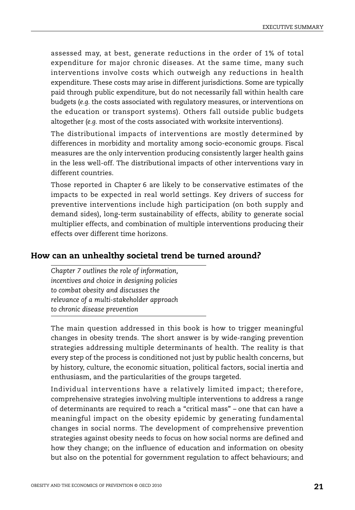assessed may, at best, generate reductions in the order of 1% of total expenditure for major chronic diseases. At the same time, many such interventions involve costs which outweigh any reductions in health expenditure. These costs may arise in different jurisdictions. Some are typically paid through public expenditure, but do not necessarily fall within health care budgets (*e.g.* the costs associated with regulatory measures, or interventions on the education or transport systems). Others fall outside public budgets altogether (*e.g.* most of the costs associated with worksite interventions).

The distributional impacts of interventions are mostly determined by differences in morbidity and mortality among socio-economic groups. Fiscal measures are the only intervention producing consistently larger health gains in the less well-off. The distributional impacts of other interventions vary in different countries.

Those reported in Chapter 6 are likely to be conservative estimates of the impacts to be expected in real world settings. Key drivers of success for preventive interventions include high participation (on both supply and demand sides), long-term sustainability of effects, ability to generate social multiplier effects, and combination of multiple interventions producing their effects over different time horizons.

### **How can an unhealthy societal trend be turned around?**

*Chapter 7 outlines the role of information, incentives and choice in designing policies to combat obesity and discusses the relevance of a multi-stakeholder approach to chronic disease prevention*

The main question addressed in this book is how to trigger meaningful changes in obesity trends. The short answer is by wide-ranging prevention strategies addressing multiple determinants of health. The reality is that every step of the process is conditioned not just by public health concerns, but by history, culture, the economic situation, political factors, social inertia and enthusiasm, and the particularities of the groups targeted.

Individual interventions have a relatively limited impact; therefore, comprehensive strategies involving multiple interventions to address a range of determinants are required to reach a "critical mass" – one that can have a meaningful impact on the obesity epidemic by generating fundamental changes in social norms. The development of comprehensive prevention strategies against obesity needs to focus on how social norms are defined and how they change; on the influence of education and information on obesity but also on the potential for government regulation to affect behaviours; and